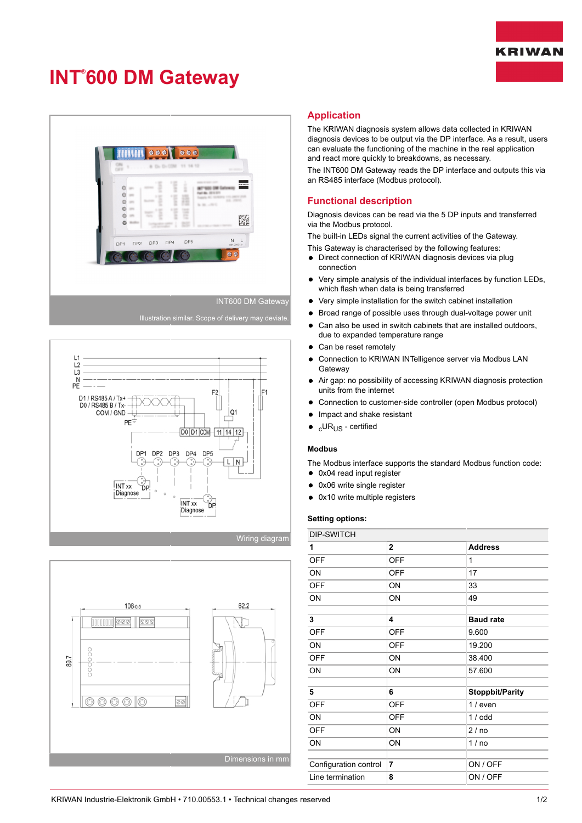# **KRIWAN**

# **INT® 600 DM Gateway**



#### INT600 DM Gateway





## **Application**

The KRIWAN diagnosis system allows data collected in KRIWAN diagnosis devices to be output via the DP interface. As a result, users can evaluate the functioning of the machine in the real application and react more quickly to breakdowns, as necessary.

The INT600 DM Gateway reads the DP interface and outputs this via an RS485 interface (Modbus protocol).

## **Functional description**

Diagnosis devices can be read via the 5 DP inputs and transferred via the Modbus protocol.

The built-in LEDs signal the current activities of the Gateway.

This Gateway is characterised by the following features:

- Direct connection of KRIWAN diagnosis devices via plug  $\bullet$ connection
- Very simple analysis of the individual interfaces by function LEDs,  $\bullet$ which flash when data is being transferred
- Very simple installation for the switch cabinet installation  $\bullet$
- Broad range of possible uses through dual-voltage power unit
- Can also be used in switch cabinets that are installed outdoors,  $\bullet$ due to expanded temperature range
- Can be reset remotely  $\bullet$
- $\bullet$ Connection to KRIWAN INTelligence server via Modbus LAN **Gateway**
- Air gap: no possibility of accessing KRIWAN diagnosis protection  $\bullet$ units from the internet
- Connection to customer-side controller (open Modbus protocol)
- Impact and shake resistant
- cURUS certified

#### **Modbus**

The Modbus interface supports the standard Modbus function code:

- 0x04 read input register
- 0x06 write single register
- 0x10 write multiple registers  $\bullet$

#### **Setting options:**

| DIP-SWITCH            |                |                        |
|-----------------------|----------------|------------------------|
| 1                     | $\mathbf{2}$   | <b>Address</b>         |
| <b>OFF</b>            | <b>OFF</b>     | 1                      |
| ON                    | <b>OFF</b>     | 17                     |
| <b>OFF</b>            | ON             | 33                     |
| ON                    | ON             | 49                     |
|                       |                |                        |
| 3                     | 4              | <b>Baud rate</b>       |
| <b>OFF</b>            | <b>OFF</b>     | 9.600                  |
| ON                    | <b>OFF</b>     | 19.200                 |
| <b>OFF</b>            | ON             | 38.400                 |
| ON                    | ON             | 57.600                 |
|                       |                |                        |
| 5                     | 6              | <b>Stoppbit/Parity</b> |
| <b>OFF</b>            | <b>OFF</b>     | $1/$ even              |
| ON                    | <b>OFF</b>     | 1/odd                  |
| <b>OFF</b>            | ON             | 2/no                   |
| ON                    | ON             | 1/no                   |
|                       |                |                        |
| Configuration control | $\overline{7}$ | ON / OFF               |
| Line termination      | 8              | ON / OFF               |
|                       |                |                        |